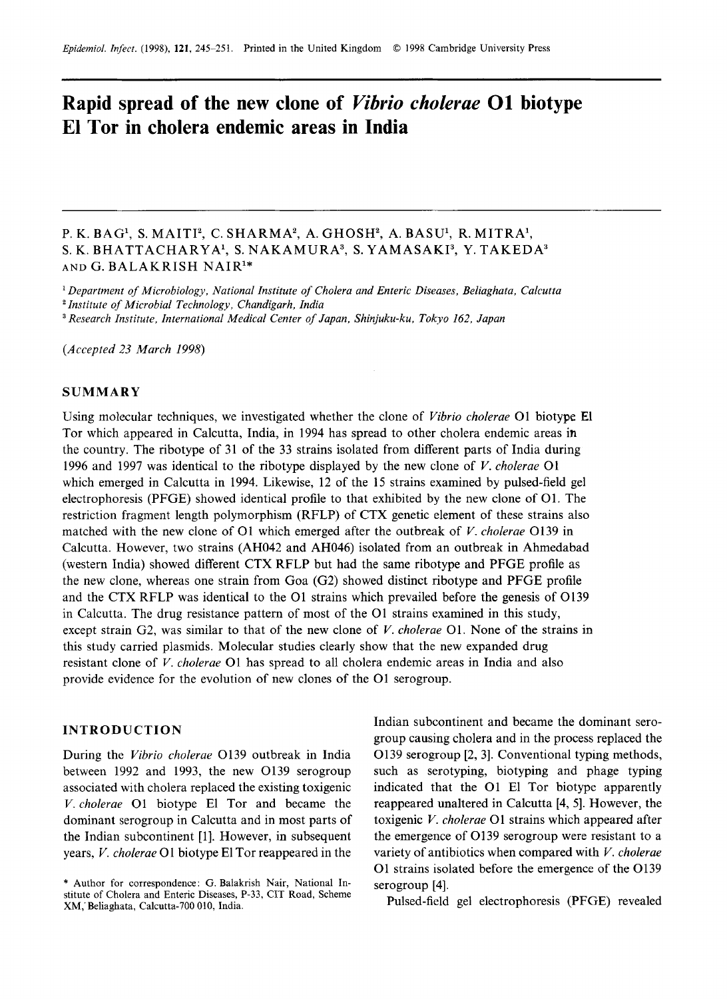## **Rapid spread of the new clone of Vibrio** *cholerae* **01 biotype El Tor in cholera endemic areas in India**

# P. K. BAG1, **S.** MAITI', C. SHARMA', A. GHOSH', A. **BASU1,** R. MITRA', **S.** K. BHATTACHARYAl, **S.** NAKAMURA3, **S.** YAMASAK13, **Y.** TAKEDA3 **AND**  G. BALAKRISH NAIR1\* *zyxwvutsrqponmlkjihgfedcbaZYXWVUTSRQPONMLKJIHGFEDCBA of Cholera and Enteric Diseases, Beliaghata, Calcutta R. R. BAG<sup>1</sup>*, *S. MAITI<sup>2</sup>, C. SHARMA<sup>2</sup>, A. GHOSH<sup>2</sup>, A. BASU<sup>1</sup>, R. MITRA<sup>1</sup>, <i>K. BHATTACHARYA<sup>1</sup>, S. NAKAMURA<sup>3</sup>, S. YAMASAKI<sup>3</sup>, <i>Y. TAKEDA<sup>3</sup>*<br> *R. BHATTACHARYA<sup>1</sup>, S. NAKAMURA<sup>3</sup>, S. YAMASAKI<sup>3</sup>, <i>Y. TAKEDA<sup>3</sup>*<br> *D*

*Department of Microbiology, National Institute* 

*Institute of Microbial Technology, Chandigarh, India* 

*(Accepted 23 March 1998)* 

#### **SUMMARY**

Using molecular techniques, we investigated whether the clone of *Vibrio cholerae* 01 biotype El Tor which appeared in Calcutta, India, in 1994 has spread to other cholera endemic areas in the country. The ribotype of 31 of the 33 strains isolated from different parts of India during 1996 and 1997 was identical to the ribotype displayed by the new clone of *V. cholerae* 01 which emerged in Calcutta in 1994. Likewise, 12 of the 15 strains examined by pulsed-field gel electrophoresis (PFGE) showed identical profile to that exhibited by the new clone of 01. The restriction fragment length polymorphism (RFLP) of CTX genetic element of these strains also matched with the new clone of 01 which emerged after the outbreak of *V. cholerae* 0139 in Calcutta. However, two strains (AH042 and AH046) isolated from an outbreak in Ahmedabad (western India) showed different CTX RFLP but had the same ribotype and PFGE profile as the new clone, whereas one strain from Goa (G2) showed distinct ribotype and PFGE profile and the CTX RFLP was identical to the 01 strains which prevailed before the genesis of 0139 in Calcutta. The drug resistance pattern of most of the 01 strains examined in this study, except strain G2, was similar to that of the new clone of *V. cholerae* 01. None of the strains in this study carried plasmids. Molecular studies clearly show that the new expanded drug resistant clone of *V. cholerae* 01 has spread to all cholera endemic areas in India and also provide evidence for the evolution of new clones of the 01 serogroup.

#### **INTRODUCTION**

During the *Vibrio cholerae* 0139 outbreak in India between 1992 and 1993, the new 0139 serogroup associated with cholera replaced the existing toxigenic *V. cholerae* 01 biotype El Tor and became the dominant serogroup in Calcutta and in most parts of years, *V. cholerae* 01 biotype El Tor reappeared in the

the Indian subcontinent (139 outbreak in India<br>
During the *Vibrio cholerae* O139 outbreak in India<br>
During CD and 1993, the new O139 serogroup and as serotyping, biotyping and phage typing<br>
associated with cholera replac Indian subcontinent and became the dominant serogroup causing cholera and in the process replaced the 0139 serogroup [2, 31. Conventional typing methods, such as serotyping, biotyping and phage typing indicated that the 01 El Tor biotype apparently reappeared unaltered in Calcutta [4, 51. However, the toxigenic *V. cholerae* 01 strains which appeared after the emergence of 0139 serogroup were resistant to a variety of antibiotics when compared with *V. cholerae*  01 strains isolated before the emergence of the 0139 serogroup [4].

Pulsed-field gel electrophoresis (PFGE) revealed

<sup>\*</sup> Author for correspondence: **G.** Balakrish Nair, National Institute of Cholera and Enteric Diseases, P-33, CIT Road, Scheme XM; Beliaghata, Calcutta-700 010, India.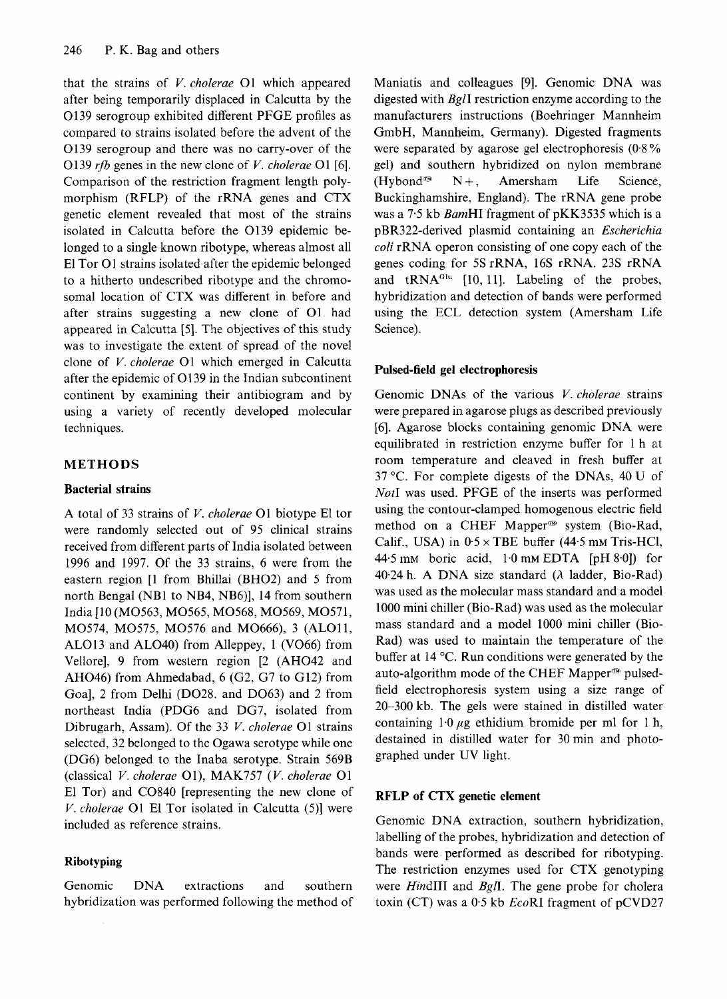That the strains of *V. cholerae* O1 which appeared Maniatis and colleagues [9]. Genomic DNA was after being temporarily displaced in Calcutta by the digested with *BgII* restriction enzyme according to the O139 serogroup after being temporarily displaced in Calcutta by the 0139 serogroup exhibited different PFGE profiles as compared to strains isolated before the advent of the 0139 serogroup and there was no carry-over of the Comparison of the restriction fragment length polymorphism (RFLP) of the rRNA genes and CTX that the strains of *V. cholerae* O1 which appeared Maniatis and colleagues [9]. Genomic DNA was<br>after being temporarily displaced in Calcutta by the digested with *BglI* restriction enzyme according to the<br>O139 serogroup in the new clone of *V. cholerae*  01 genetic element revealed that most of the strains isolated in Calcutta before the 0139 epidemic belonged to a single known ribotype, whereas almost all El Tor 01 strains isolated after the epidemic belonged to a hitherto undescribed ribotype and the chromosomal location of CTX was different in before and after strains suggesting a new clone of 01 had appeared in Calcutta [5]. The objectives of this study was to investigate the extent of spread of the novel clone of *V. cholerae* 01 which emerged in Calcutta after the epidemic of 01 39 in the Indian subcontinent continent by examining their antibiogram and by using a variety of recently developed molecular techniques.

### **METHODS**

#### **Bacterial strains**

A total of 33 strains of *V. cholerae* 01 biotype El tor were randomly selected out of 95 clinical strains received from different parts of India isolated between 1996 and 1997. Of the 33 strains, 6 were from the eastern region [l from Bhillai (BH02) and *5* from north Bengal (NB1 to NB4, NB6)], 14 from southern India [lo (M0563, M0565, M0568, M0569, M0571, M0574, M0575, M0576 and M0666), 3 (ALO11, ALO13 and AL040) from Alleppey, 1 (V066) from Vellore], 9 from western region [2 (AH042 and AH046) from Ahmedabad, 6 (G2, G7 to G12) from Goal, 2 from Delhi (D028. and D063) and 2 from northeast India (PDG6 and DG7, isolated from Dibrugarh, Assam). Of the 33 *V. cholerae* 01 strains selected, 32 belonged to the Ogawa serotype while one (DG6) belonged to the Inaba serotype. Strain 569B (classical *V. cholerae* 01), MAK757 *(V. cholerae* 01 El Tor) and C0840 [representing the new clone of *V. cholerae* 01 El Tor isolated in Calcutta (5)] were included as reference strains.

#### **Ri botyping**

Genomic DNA extractions and southern hybridization was performed following the method of

**Example 18 Manuarity and colleagues [9]. Genomic DNA was**<br>the digested with *BglI* restriction enzyme according to the<br>as manufacturers instructions (Boehringer Mannheim<br>the GmbH, Mannheim, Germany). Digested fragments<br>th Maniatis and colleagues [9]. Genomic DNA was digested with BglI restriction enzyme according to the manufacturers instructions (Boehringer Mannheim GmbH, Mannheim, Germany). Digested fragments were separated by agarose gel electrophoresis gel) and southern hybridized on nylon membrane (Hybond@  $N+,$ Amersham Life Science, A was<br>
to the<br>
ments<br>  $(0.8\%)$ <br>
bindments Buckinghamshire, England). The rRNA gene probe was a 7.5 kb BamHI fragment of pKK3535 which is a pBR322-derived plasmid containing an *Escherichia coli* rRNA operon consisting of one copy each of the genes coding for 5SrRNA, 16s rRNA. 23s rRNA and  $tRNA<sup>G1u</sup>$  [10, 11]. Labeling of the probes, hybridization and detection of bands were performed using the ECL detection system (Amersham Life Science).

#### **Pulsed-field gel electrophoresis**

Genomic DNAs of the various *V. cholerae* strains were prepared in agarose plugs as described previously [6]. Agarose blocks containing genomic DNA were equilibrated in restriction enzyme buffer for 1 h at room temperature and cleaved in fresh buffer at 37 "C. For complete digests of the DNAs, 40 U of Not1 was used. PFGE of the inserts was performed using the contour-clamped homogenous electric field method on a CHEF Mapper<sup>®</sup> system (Bio-Rad, Calif., USA) in  $0.5 \times$  TBE buffer (44.5 mm Tris-HCl, 44.5 mm boric acid,  $1.0$  mm EDTA [pH 8.0]) for 40.24 h. A DNA size standard *(A* ladder, Bio-Rad) was used as the molecular mass standard and a model 1000 mini chiller (Bio-Rad) was used as the molecular mass standard and a model 1000 mini chiller (Bio-Rad) was used to maintain the temperature of the buffer at 14 "C. Run conditions were generated by the auto-algorithm mode of the CHEF Mapper<sup>®</sup> pulsedfield electrophoresis system using a size range of 20-300 kb. The gels were stained in distilled water containing  $1.0 \mu$ g ethidium bromide per ml for 1 h, destained in distilled water for 30 min and photographed under UV light.

#### **RFLP of CTX genetic element**

Genomic DNA extraction, southern hybridization, labelling of the probes, hybridization and detection of bands were performed as described for ribotyping. The restriction enzymes used for CTX genotyping were *HindIII* and *BgII*. The gene probe for cholera toxin (CT) was a  $0.5$  kb *EcoRI* fragment of pCVD27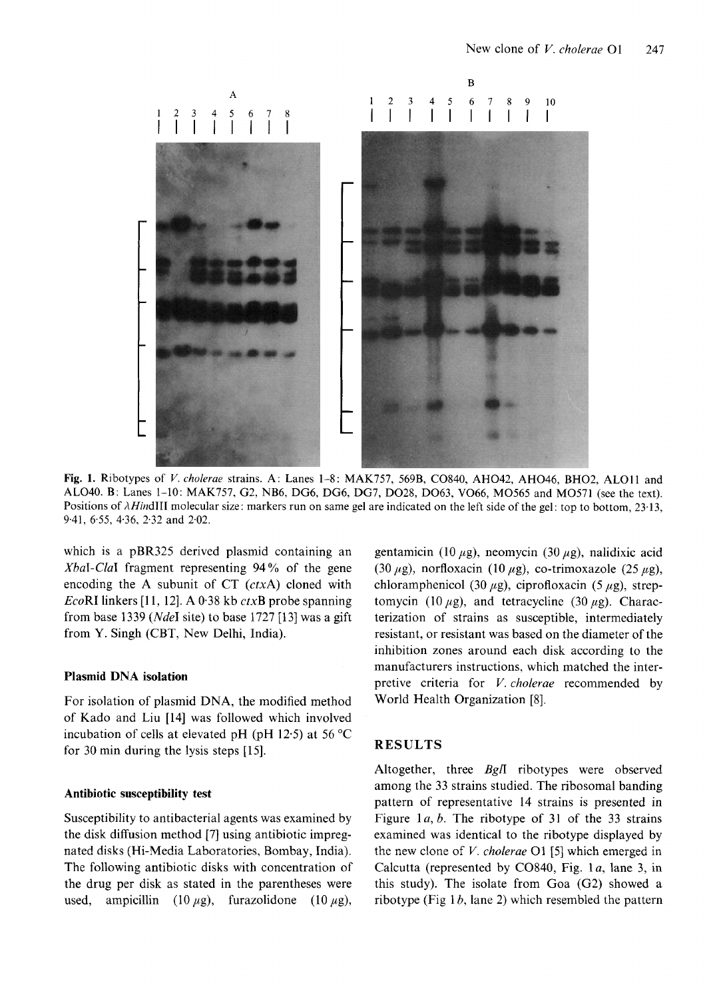

AL040. B: Lanes 1-10: MAK757, G2, NB6, DG6, DG6, DG7, D028, D063, V066, M0565 and M0571 (see the text). Positions of  $\lambda$ HindIII molecular size: markers run on same gel are indicated on the left side of the gel: top to bottom, 23.13, 9.41, 6.55, 4.36, 2.32 and 2.02. 757, 569B, CO840, AHO42, AHO46, BHO2, ALO11 and<br>7, DO28, DO63, VO66, MO565 and MO571 (see the text).<br>re indicated on the left side of the gel: top to bottom, 23.13,<br>gentamicin (10  $\mu$ g), neomycin (30  $\mu$ g), nalidixic ac

which is a pBR325 derived plasmid containing an XbaI-ClaI fragment representing 94% of the gene encoding the A subunit of  $CT$  ( $ctxA$ ) cloned with EcoRI linkers [ll, 121. A 0.38 kb *ctxB* probe spanning from base 1339 ( $NdeI$  site) to base 1727 [13] was a gift from Y. Singh (CBT, New Delhi, India).

#### **Plasmid DNA isolation**

For isolation of plasmid DNA, the modified method of Kado and Liu [14] was followed which involved incubation of cells at elevated pH (pH 12.5) at 56  $^{\circ}$ C for 30 min during the lysis steps [15].

nated disks (Hi-Media Laboratories, Bombay, India). the new clone of *V. cholerae* 01 [5] which emerged in

(30  $\mu$ g), norfloxacin (10  $\mu$ g), co-trimoxazole (25  $\mu$ g), chloramphenicol (30  $\mu$ g), ciprofloxacin (5  $\mu$ g), streptomycin (10  $\mu$ g), and tetracycline (30  $\mu$ g). Characterization of strains as susceptible, intermediately resistant, or resistant was based on the diameter of the inhibition zones around each disk according to the manufacturers instructions, which matched the interpretive criteria for *V. cholerae* recommended by World Health Organization [8].

#### **RESULTS**

Altogether, three *BglI* ribotypes were observed among the 33 strains studied. The ribosomal banding **Antibiotic susceptibility test**  pattern of representative 14 strains is presented in Susceptibility to antibacterial agents was examined by Figure 1a, b. The ribotype of 31 of the 33 strains the disk diffusion method [7] using antibiotic impreg- examined was identical to the ribotype displayed by The following antibiotic disks with concentration of Calcutta (represented by C0840, Fig. la, lane 3, in the drug per disk as stated in the parentheses were this study). The isolate from Goa (G2) showed a used, ampicillin  $(10 \mu g)$ , furazolidone  $(10 \mu g)$ , ribotype (Fig 1*b*, lane 2) which resembled the pattern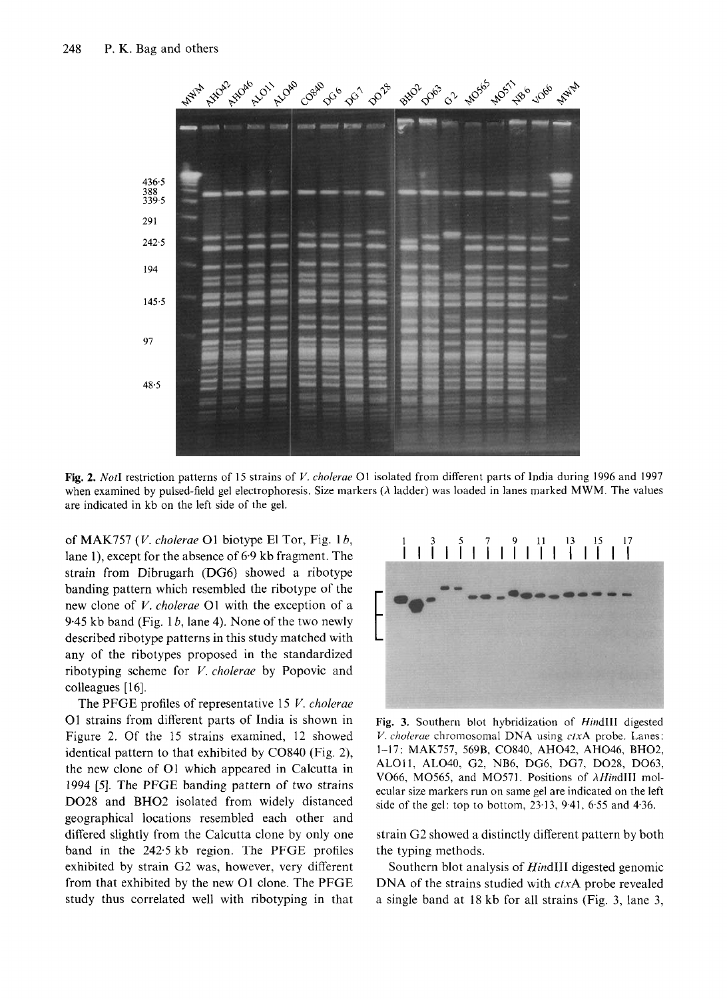

when examined by pulsed-field gel electrophoresis. Size markers  $(\lambda \text{ ladder})$  was loaded in lanes marked MWM. The values

of MAK757 *(V. cholerae* O1 biotype El Tor, Fig. 1*b*,  $\begin{array}{ccc} 1 & 3 & 5 & 7 & 9 & 11 & 13 & 15 & 17 \\ 1 & 1 & 1 & 1 & 1 & 1 & 1 \end{array}$  lane 1), except for the absence of 6.9 kb fragment. The  $\begin{array}{ccc} 1 & 1 & 1 & 1 & 1 & 1 \\ 1 & 1 & 1 & 1 & 1 & 1 \$ lane l), except for the absence of 6.9 kb fragment. The strain from Dibrugarh (DG6) showed a ribotype banding pattern which resembled the ribotype of the new clone of *V. cholerae* 01 with the exception of <sup>a</sup> 9.45 kb band (Fig. 1 *b,* lane 4). None of the two newly described ribotype patterns in this study matched with any of the ribotypes proposed in the standardized ribotyping scheme for *V. cholerae* by Popovic and colleagues [16].

The PFGE profiles of representative 15 *V. cholerae*  01 strains from different parts of India is shown in Figure 2. Of the 15 strains examined, 12 showed identical pattern to that exhibited by C0840 (Fig. 2), the new clone of 01 which appeared in Calcutta in The PFGE profiles of representative 15 *V. cholerae*<br>
1995 I strains from different parts of India is shown in<br>
Fig. 3. Southern blot hybridization of *HindIII* digested<br>
Figure 2. Of the 15 strains examined, 12 showed<br> Do28 and BH02 isolated from widely distanced geographical locations resembled each other and differed slightly from the Calcutta clone by only one band in the 242.5 kb region. The PFGE profiles the typing methods. exhibited by strain G2 was, however, very different from that exhibited by the new 01 clone. The PFGE study thus correlated well with ribotyping in that



**Fig. 3.** Southern blot hybridization of Hind111 digested V. cholerae chromosomal DNA using ctxA probe. Lanes: 1-17: MAK757, 569B, CO840, AHO42, AHO46, BHO2, VO66, MO565, and MO571. Positions of  $\lambda$ HindIII molecular size markers run on same gel are indicated on the left side of the gel: top to bottom, 23.13, 9.41, 6.55 and **4.36.**  ALO11, ALO40, G2, NB6, DG6, DG7, DO28, DO63,

strain G2 showed a distinctly different pattern by both

Southern blot analysis of Hind111 digested genomic **DNA** of the strains studied with *ctxA* probe revealed a single band at 18 kb for all strains (Fig. 3, lane 3,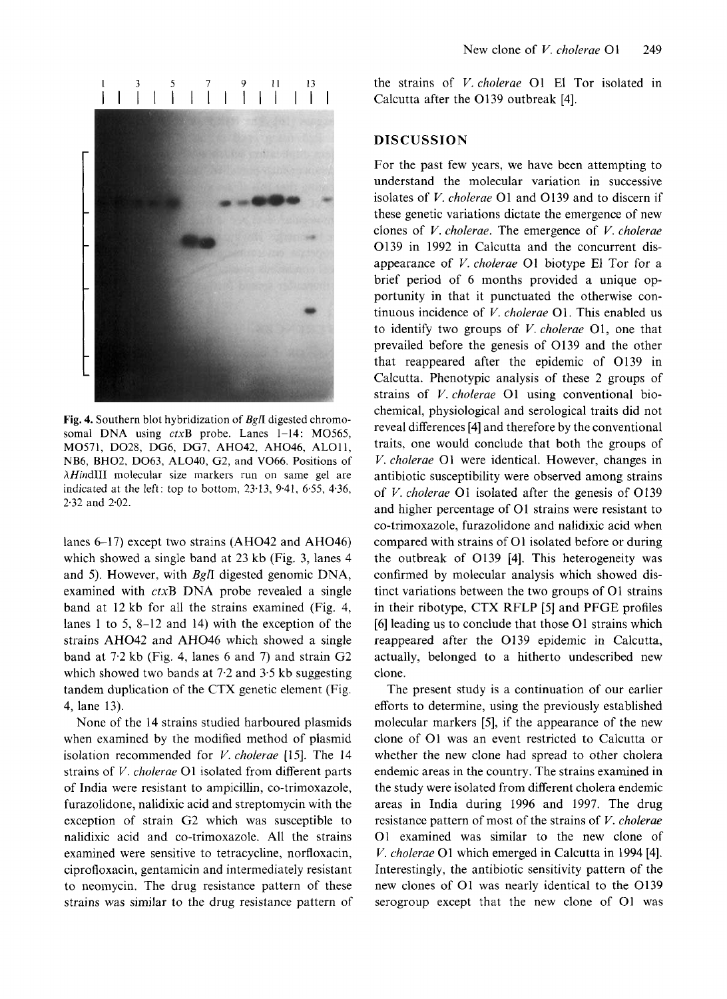IIIIIIIIIIIIII Calcutta after the 0139 outbreak [4].



somal DNA using ctxB probe. Lanes 1-14: MO565, M0571, D028, DG6, DG7, AH042, AH046, ALOI1, NB6, BH02, D063, AL040, G2, and V066. Positions of  $\lambda$ HindIII molecular size markers run on same gel are indicated at the left: top to bottom,  $23-13$ ,  $9-41$ ,  $6-55$ ,  $4-36$ , 2.32 and 2.02.

lanes 6-17) except two strains (AH042 and AH046) which showed a single band at 23 kb (Fig. 3, lanes 4 and 5). However, with *Bgfl* digested genomic DNA, examined with ctxB DNA probe revealed a single band at 12 kb for all the strains examined (Fig. 4, lanes 1 to 5, 8-12 and 14) with the exception of the strains AH042 and AH046 which showed a single band at 7.2 kb (Fig. 4, lanes 6 and 7) and strain G2 which showed two bands at 7.2 and 3.5 kb suggesting tandem duplication of the CTX genetic element (Fig. 4, lane 13).

None of the 14 strains studied harboured plasmids when examined by the modified method of plasmid isolation recommended for *V. choterae* [15]. The 14 strains of *V. cholevae* 01 isolated from different parts of India were resistant to ampicillin, co-trimoxazole, furazolidone, nalidixic acid and streptomycin with the exception of strain G2 which was susceptible to nalidixic acid and co-trimoxazole. All the strains examined were sensitive to tetracycline, norfloxacin, ciprofloxacin, gentamicin and intermediately resistant to neomycin. The drug resistance pattern of these strains was similar to the drug resistance pattern of

New clone of *V. cholerae* O1 249<br>
1 3 5 7 9 11 13 the strains of *V. cholerae* O1 El Tor isolated in<br>
1 | | | | | | | | | | | | | Calcutta after the O139 outbreak [4].

#### **DISCUSSION**

For the past few years, we have been attempting to understand the molecular variation in successive isolates of *V. cholerae* 01 and 0139 and to discern if these genetic variations dictate the emergence of new clones of *V. cholerae.* The emergence of *V. cholerae*  0139 in 1992 in Calcutta and the concurrent disappearance of *V. cholerae* 01 biotype El Tor for a brief period of 6 months provided a unique opportunity in that it punctuated the otherwise continuous incidence of *V. cholerae* 01. This enabled us to identify two groups of *V. cholerae* 01, one that prevailed before the genesis of 0139 and the other that reappeared after the epidemic of 0139 in Calcutta. Phenotypic analysis of these 2 groups of strains of *V. cholerae* 01 using conventional biochemical, physiological and serological traits did not reveal differences [4] and therefore by the conventional traits, one would conclude that both the groups of *V. cholerae* 01 were identical. However, changes in antibiotic susceptibility were observed among strains of *T*. *chotena* OT dang conventional biodenical, physiological and serological traits did not reveal differences [4] and therefore by the conventional traits, one would conclude that both the groups of *V*. *cholerae* O1 and higher percentage of 01 strains were resistant to **Fig. 4.** Southern blot hybridization of *Bgn* digested chromo-<br> **Fig. 4.** Southern blot hybridization of *Bgn* digested chromo-<br> **Fig. 4.** Southern blot hybridization of *Bgn* digested chromo-<br> **Fig. 4.** Southern blot hyb co-trimoxazole, furazolidone and nalidixic acid when compared with strains of 01 isolated before or during the outbreak of 0139 [4]. This heterogeneity was confirmed by molecular analysis which showed distinct variations between the two groups of 01 strains in their ribotype, CTX RFLP **[5]** and PFGE profiles [6] leading us to conclude that those 01 strains which reappeared after the 0139 epidemic in Calcutta, actually, belonged to a hitherto undescribed new clone.

The present study is a continuation of our earlier efforts to determine, using the previously established molecular markers [5], if the appearance of the new clone of 01 was an event restricted to Calcutta or whether the new clone had spread to other cholera endemic areas in the country. The strains examined in the study were isolated from different cholera endemic areas in India during 1996 and 1997. The drug resistance pattern of most of the strains of *V. cholerae*  01 examined was similar to the new clone of *V. cholerae* 01 which emerged in Calcutta in 1994 [4]. Interestingly, the antibiotic sensitivity pattern of the new clones of 01 was nearly identical to the 0139 serogroup except that the new clone of 01 was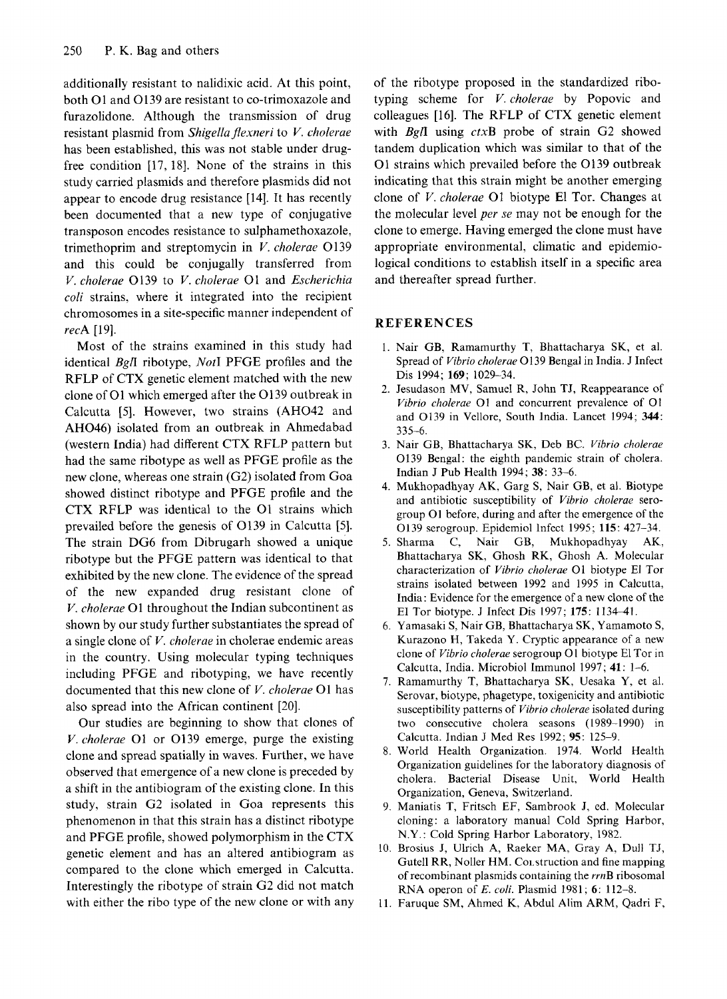additionally resistant to nalidixic acid. At this point, both 01 and 0139 are resistant to co-trimoxazole and furazolidone. Although the transmission of drug has been established, this was not stable under drugstudy carried plasmids and therefore plasmids did not appear to encode drug resistance [14]. It has recently been documented that a new type of conjugative transposon encodes resistance to sulphamethoxazole, trimethoprim and streptomycin in *V. cholerae* 0139 and this could be conjugally transferred from *V. cholerae* 0139 to *V. cholerae* 01 and *Escherichiu coli* strains, where it integrated into the recipient chromosomes in a site-specific manner independent *recA*  [19].

Most of the strains examined in this study had identical *Bgli* ribotype, *Not1* PFGE profiles and the RFLP of CTX genetic element matched with the new clone of 01 which emerged after the 01 39 outbreak in Calcutta *[5].* However, two strains (AH042 and AH046) isolated from an outbreak in Ahmedabad (western India) had different CTX RFLP pattern but had the same ribotype as well as PFGE profile as the new clone, whereas one strain (G2) isolated from Goa showed distinct ribotype and PFGE profile and the CTX RFLP was identical to the 01 strains which prevailed before the genesis of 0139 in Calcutta *[5].*  The strain DG6 from Dibrugarh showed a unique ribotype but the PFGE pattern was identical to that exhibited by the new clone. The evidence of the spread of the new expanded drug resistant clone of *V. cholerae* 01 throughout the Indian subcontinent as shown by our study further substantiates the spread of a single clone of *V. cholerae* in cholerae endemic areas in the country. Using molecular typing techniques including PFGE and ribotyping, we have recently documented that this new clone of *V. cholerae* 01 has also spread into the African continent [20].

Our studies are beginning to show that clones of *V. cholerae* 01 or 0139 emerge, purge the existing clone and spread spatially in waves. Further, we have observed that emergence of a new clone is preceded by a shift in the antibiogram of the existing clone. In this study, strain G2 isolated in Goa represents this phenomenon in that this strain has a distinct ribotype and PFGE profile, showed polymorphism in the CTX genetic element and has an altered antibiogram as compared to the clone which emerged in Calcutta. Interestingly the ribotype of strain G2 did not match with either the ribo type of the new clone or with any

**resistant 10** and others additionally resistant to nalidixic acid. At this point, of the ribotype proposed in the standardized ribo-<br>both O1 and O139 are resistant to co-trimoxazole and typing scheme for *V. cholerae* by additionally resistant to nalidixic acid. At this point, of the ribotype proposed in the standardized ribo-<br>both O1 and O139 are resistant to co-trimoxazole and typing scheme for V. cholerae by Popovic and<br>furazolidone. Al of *zyxwvutsrqponmlkjihgfedcbaZYXWVUTSRQPONMLKJIHGFEDCBA* of the ribotype proposed in the standardized ribotyping scheme for *V. cholerae* by Popovic and colleagues [16]. The RFLP of CTX genetic element with *BglI* using ctxB probe of strain G2 showed tandem duplication which was similar to that of the 01 strains which prevailed before the 0139 outbreak indicating that this strain might be another emerging clone of *V. cholerae* 01 biotype **El** Tor. Changes at the molecular level *per se* may not be enough for the clone to emerge. Having emerged the clone must have appropriate environmental, climatic and epidemiological conditions to establish itself in a specific area and thereafter spread further. one to emerge. Having emerged the clone must have<br>ppropriate environmental, climatic and epidemio-<br>gical conditions to establish itself in a specific area<br>nd thereafter spread further.<br>**EFERENCES**<br>1. Nair GB, Ramamurthy T,

### **REFERENCES**

- Spread of *Vibrio cholerae* 0139 Bengal in India. J Infect Dis 1994; **169;** 1029-34.
- 2. Jesudason MV, Samuel R, John TJ, Reappearance of *Vibrio cholerae* 01 and concurrent prevalence of 01 and 0139 in Vellore, South India. Lancet 1994; **344:**  Spread of *Vibrio cholerae* O139 Bengal in India. J Infect<br>Dis 1994; 169; 1029–34.<br>2. Jesudason MV, Samuel R, John TJ, Reappearance of<br>*Vibrio cholerae* O1 and concurrent prevalence of O1<br>and O139 in Vellore, South India.
- 0139 Bengal: the eighth pandemic strain of cholera. Indian J Pub Health 1994; **38:** 33-6. 335-6.<br>3. Nair GB, Bhattacharya SK, Deb BC. Vibrio cholerae
- 4. Mukhopadhyay AK, Garg S, Nair GB, et al. Biotype and antibiotic susceptibility of *Vibrio cholerae* serogroup 01 before, during and after the emergence of the 0139 serogroup. Epidemiol Infect 1995; **115:** 427-34.
- 5. Sharma C, Nair GB, Mukhopadhyay AK, Bhattacharya SK, Ghosh RK, Ghosh A. Molecular characterization of *Vibrio cholerae* 01 biotype El Tor strains isolated between 1992 and 1995 in Calcutta, India : Evidence for the emergence of a new clone of the EI Tor biotype. J Infect Dis 1997; **175:** 1134-41.
- 6. Yamasaki S, Nair GB, Bhattacharya SK, Yamamoto **S,**  Kurazono H, Takeda Y. Cryptic appearance of a new clone of *Vibrio cholerae* serogroup 01 biotype El Tor in Calcutta, India. Microbiol Immunol 1997; **41: 1-6.**
- 7. Ramamurthy T, Bhattacharya **SK,** Uesaka Y, et al. Serovar, biotype, phagetype, toxigenicity and antibiotic susceptibility patterns of *Vibrio cholerae* isolated during two consecutive cholera seasons (1989-1990) in clone of *Vibrio cholerae* serogroup O1 biotype El Tor in<br>Calcutta, India. Microbiol Immunol 1997; 41: 1–6.<br>Ramamurthy T, Bhattacharya SK, Uesaka Y, et al.<br>Serovar, biotype, phagetype, toxigenicity and antibiotic<br>susceptib
- 8. World Health Organization. 1974. World Health Organization guidelines for the laboratory diagnosis of cholera. Bacterial Disease Unit, World Health Organization, Geneva, Switzerland.
- 9. Maniatis T, Fritsch EF, Sambrook J, ed. Molecular cloning: a laboratory manual Cold Spring Harbor, N.Y.: Cold Spring Harbor Laboratory, 1982.
- 10. Brosius J, Ulrich A, Raeker MA, Gray A, Dull TJ, Gutell RR, Noller HM. Coi. struction and fine mapping of recombinant plasmids containing the rrnB ribosomal RNA operon of *E. coli.* Plasmid 1981; *6:* 112-8.
- 11. Faruque SM, Ahmed K, Abdul Alim ARM, Qadri F,